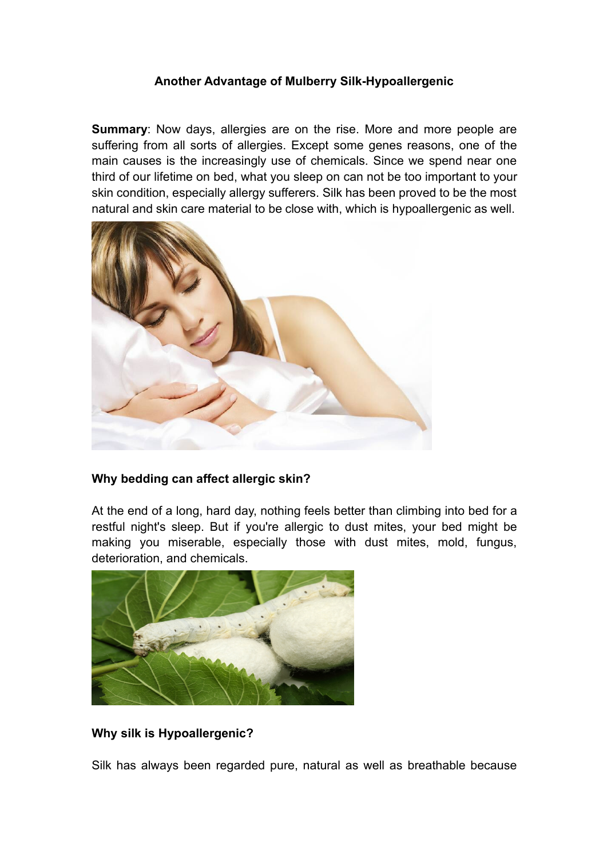### **Another Advantage of Mulberry Silk-Hypoallergenic**

**Summary**: Now days, allergies are on the rise. More and more people are suffering from all sorts of allergies. Except some genes reasons, one of the main causes is the increasingly use of chemicals. Since we spend near one third of our lifetime on bed, what you sleep on can not be too important to your skin condition, especially allergy sufferers. Silk has been proved to be the most natural and skin care material to be close with, which is hypoallergenic as well.



# **Why bedding can affect allergic skin?**

At the end of a long, hard day, nothing feels better than climbing into bed for a restful night's sleep. But if you're allergic to dust mites, your bed might be making you miserable, especially those with dust mites, mold, fungus, deterioration, and chemicals.



# **Why silk is Hypoallergenic?**

Silk has always been regarded pure, natural as well as breathable because